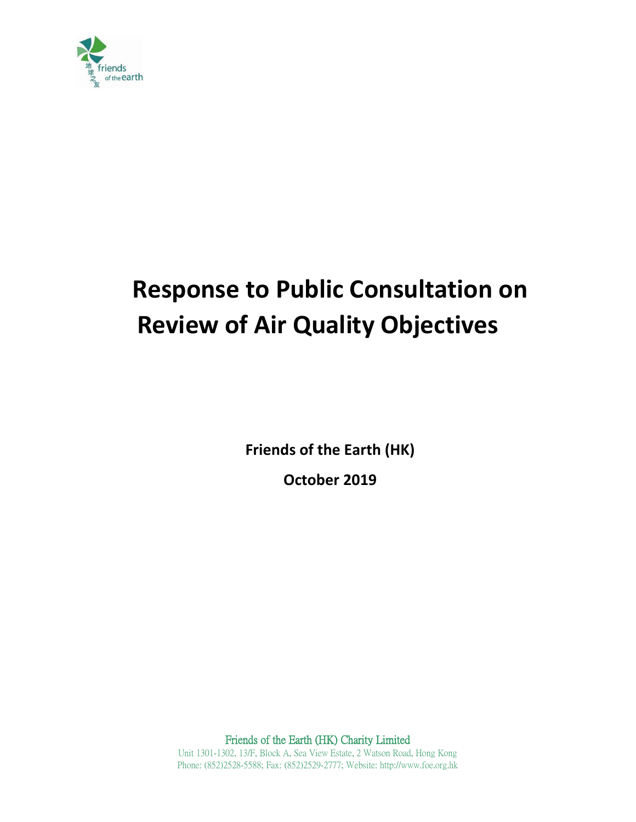

# **Response to Public Consultation on Review of Air Quality Objectives**

**Friends of the Earth (HK)**

**October 2019**

Friends of the Earth (HK) Charity Limited

Unit 1301-1302, 13/F, Block A, Sea View Estate, 2 Watson Road, Hong Kong Phone: (852)2528-5588; Fax: (852)2529-2777; Website: http://www.foe.org.hk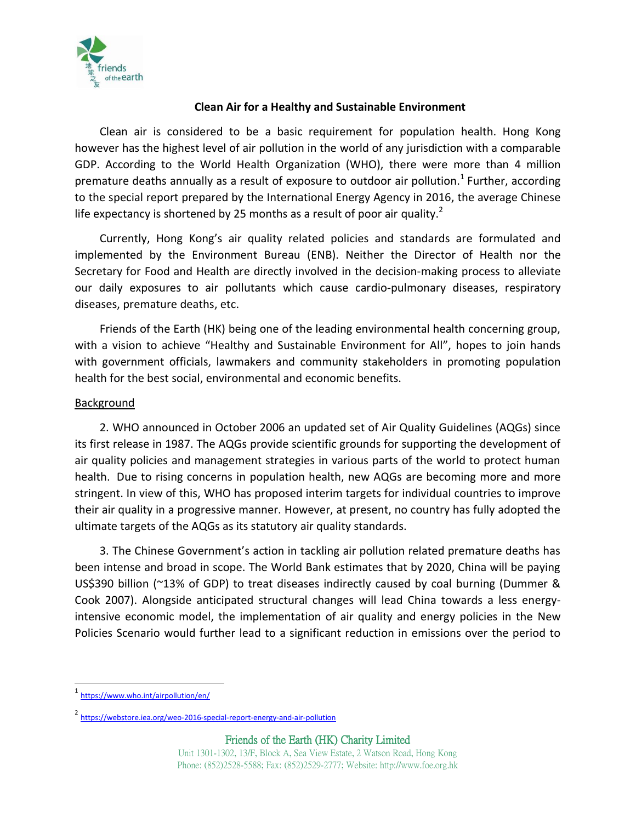

### **Clean Air for a Healthy and Sustainable Environment**

Clean air is considered to be a basic requirement for population health. Hong Kong however has the highest level of air pollution in the world of any jurisdiction with a comparable GDP. According to the World Health Organization (WHO), there were more than 4 million premature deaths annually as a result of exposure to outdoor air pollution.<sup>1</sup> Further, according to the special report prepared by the International Energy Agency in 2016, the average Chinese life expectancy is shortened by 25 months as a result of poor air quality.<sup>2</sup>

Currently, Hong Kong's air quality related policies and standards are formulated and implemented by the Environment Bureau (ENB). Neither the Director of Health nor the Secretary for Food and Health are directly involved in the decision-making process to alleviate our daily exposures to air pollutants which cause cardio-pulmonary diseases, respiratory diseases, premature deaths, etc.

Friends of the Earth (HK) being one of the leading environmental health concerning group, with a vision to achieve "Healthy and Sustainable Environment for All", hopes to join hands with government officials, lawmakers and community stakeholders in promoting population health for the best social, environmental and economic benefits.

#### Background

2. WHO announced in October 2006 an updated set of Air Quality Guidelines (AQGs) since its first release in 1987. The AQGs provide scientific grounds for supporting the development of air quality policies and management strategies in various parts of the world to protect human health. Due to rising concerns in population health, new AQGs are becoming more and more stringent. In view of this, WHO has proposed interim targets for individual countries to improve their air quality in a progressive manner. However, at present, no country has fully adopted the ultimate targets of the AQGs as its statutory air quality standards.

3. The Chinese Government's action in tackling air pollution related premature deaths has been intense and broad in scope. The World Bank estimates that by 2020, China will be paying US\$390 billion (~13% of GDP) to treat diseases indirectly caused by coal burning (Dummer & Cook 2007). Alongside anticipated structural changes will lead China towards a less energyintensive economic model, the implementation of air quality and energy policies in the New Policies Scenario would further lead to a significant reduction in emissions over the period to

 $\overline{\phantom{a}}$ 

<sup>1</sup> <https://www.who.int/airpollution/en/>

<sup>&</sup>lt;sup>2</sup> <https://webstore.iea.org/weo-2016-special-report-energy-and-air-pollution>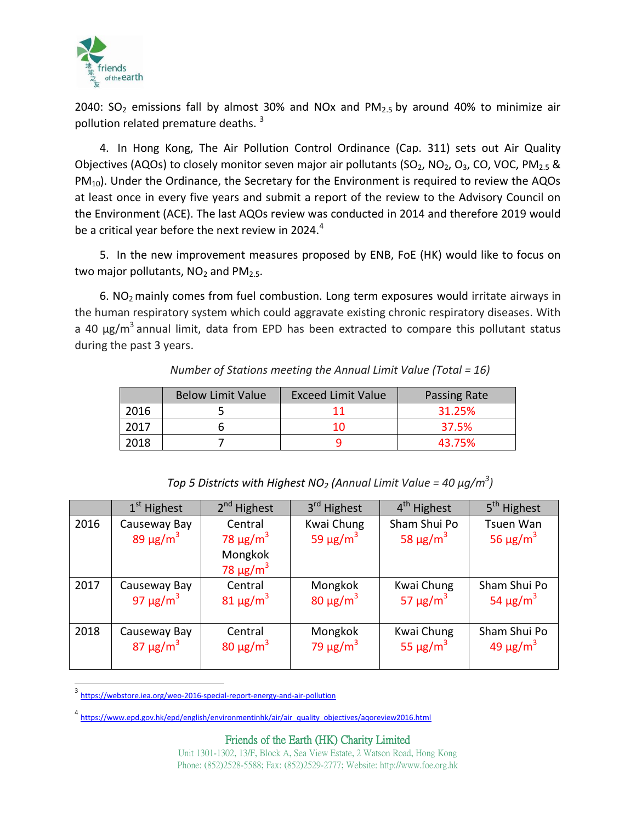

2040:  $SO_2$  emissions fall by almost 30% and NOx and PM $_{2.5}$  by around 40% to minimize air pollution related premature deaths.<sup>3</sup>

4. In Hong Kong, The Air Pollution Control Ordinance (Cap. 311) sets out Air Quality Objectives (AQOs) to closely monitor seven major air pollutants (SO<sub>2</sub>, NO<sub>2</sub>, O<sub>3</sub>, CO, VOC, PM<sub>2.5</sub> & PM<sub>10</sub>). Under the Ordinance, the Secretary for the Environment is required to review the AQOs at least once in every five years and submit a report of the review to the Advisory Council on the Environment (ACE). The last AQOs review was conducted in 2014 and therefore 2019 would be a critical year before the next review in 2024. $^4$ 

5. In the new improvement measures proposed by ENB, FoE (HK) would like to focus on two major pollutants,  $NO<sub>2</sub>$  and  $PM<sub>2.5</sub>$ .

 $6.$  NO<sub>2</sub> mainly comes from fuel combustion. Long term exposures would irritate airways in the human respiratory system which could aggravate existing chronic respiratory diseases. With a 40 µg/m<sup>3</sup> annual limit, data from EPD has been extracted to compare this pollutant status during the past 3 years.

|      | <b>Below Limit Value</b> | <b>Exceed Limit Value</b> | Passing Rate |
|------|--------------------------|---------------------------|--------------|
| 2016 |                          |                           | 31.25%       |
| 2017 |                          |                           | 37.5%        |
| 2018 |                          |                           | 43.75%       |

*Number of Stations meeting the Annual Limit Value (Total = 16)*

|      | 1 <sup>st</sup> Highest                   | 2 <sup>nd</sup> Highest                                                      | 3rd Highest                             | 4 <sup>th</sup> Highest                   | 5 <sup>th</sup> Highest                |
|------|-------------------------------------------|------------------------------------------------------------------------------|-----------------------------------------|-------------------------------------------|----------------------------------------|
| 2016 | Causeway Bay<br>89 $\mu$ g/m <sup>3</sup> | Central<br>78 $\mu$ g/m <sup>3</sup><br>Mongkok<br>78 $\mu$ g/m <sup>3</sup> | Kwai Chung<br>59 $\mu$ g/m <sup>3</sup> | Sham Shui Po<br>58 $\mu$ g/m <sup>3</sup> | Tsuen Wan<br>56 $\mu$ g/m <sup>3</sup> |
| 2017 | Causeway Bay                              | Central                                                                      | Mongkok                                 | Kwai Chung                                | Sham Shui Po                           |
|      | 97 $\mu$ g/m <sup>3</sup>                 | $81 \mu g/m^3$                                                               | 80 $\mu$ g/m <sup>3</sup>               | 57 $\mu$ g/m <sup>3</sup>                 | 54 $\mu$ g/m <sup>3</sup>              |
| 2018 | Causeway Bay                              | Central                                                                      | Mongkok                                 | Kwai Chung                                | Sham Shui Po                           |
|      | 87 $\mu$ g/m <sup>3</sup>                 | 80 $\mu$ g/m <sup>3</sup>                                                    | 79 $\mu$ g/m <sup>3</sup>               | 55 $\mu$ g/m <sup>3</sup>                 | $49 \mu g/m^3$                         |

<sup>&</sup>lt;sup>3</sup> <https://webstore.iea.org/weo-2016-special-report-energy-and-air-pollution>

 $\overline{\phantom{a}}$ 

Friends of the Earth (HK) Charity Limited

<sup>4&</sup>lt;br>[https://www.epd.gov.hk/epd/english/environmentinhk/air/air\\_quality\\_objectives/aqoreview2016.html](https://www.epd.gov.hk/epd/english/environmentinhk/air/air_quality_objectives/aqoreview2016.html)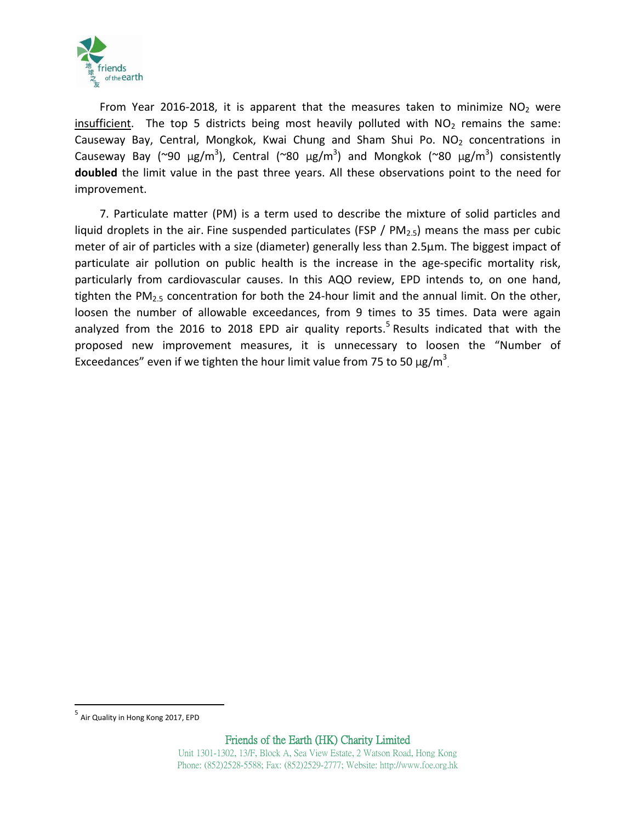

From Year 2016-2018, it is apparent that the measures taken to minimize  $NO<sub>2</sub>$  were insufficient. The top 5 districts being most heavily polluted with  $NO<sub>2</sub>$  remains the same: Causeway Bay, Central, Mongkok, Kwai Chung and Sham Shui Po.  $NO<sub>2</sub>$  concentrations in Causeway Bay (~90  $\mu$ g/m<sup>3</sup>), Central (~80  $\mu$ g/m<sup>3</sup>) and Mongkok (~80  $\mu$ g/m<sup>3</sup>) consistently **doubled** the limit value in the past three years. All these observations point to the need for improvement.

7. Particulate matter (PM) is a term used to describe the mixture of solid particles and liquid droplets in the air. Fine suspended particulates (FSP /  $PM<sub>2.5</sub>$ ) means the mass per cubic meter of air of particles with a size (diameter) generally less than 2.5µm. The biggest impact of particulate air pollution on public health is the increase in the age-specific mortality risk, particularly from cardiovascular causes. In this AQO review, EPD intends to, on one hand, tighten the PM<sub>2.5</sub> concentration for both the 24-hour limit and the annual limit. On the other, loosen the number of allowable exceedances, from 9 times to 35 times. Data were again analyzed from the 2016 to 2018 EPD air quality reports.<sup>5</sup> Results indicated that with the proposed new improvement measures, it is unnecessary to loosen the "Number of Exceedances" even if we tighten the hour limit value from 75 to 50  $\mu$ g/m<sup>3</sup>.

 $\overline{\phantom{a}}$ 

<sup>&</sup>lt;sup>5</sup> Air Quality in Hong Kong 2017, EPD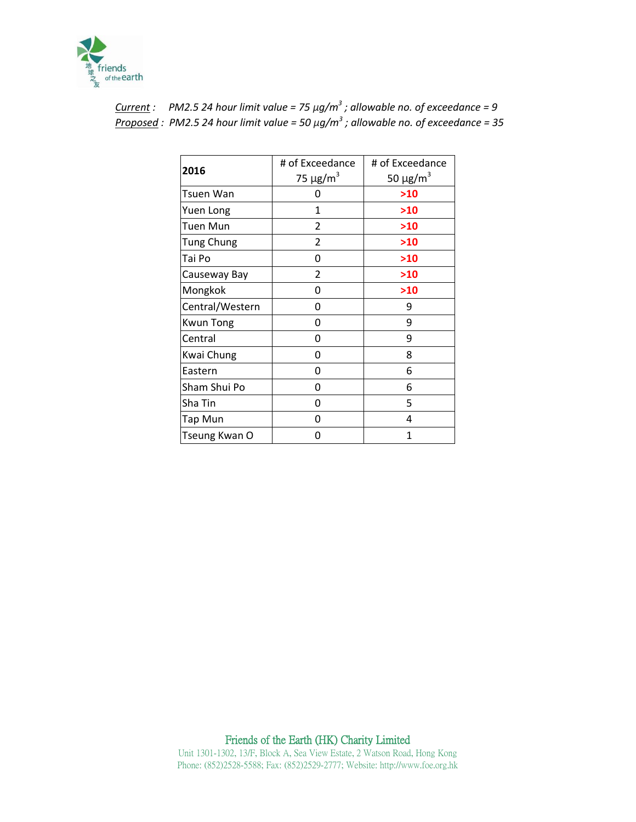

|                   | # of Exceedance           | # of Exceedance           |
|-------------------|---------------------------|---------------------------|
| 2016              | 75 $\mu$ g/m <sup>3</sup> | 50 $\mu$ g/m <sup>3</sup> |
| Tsuen Wan         | O                         | >10                       |
| Yuen Long         | 1                         | >10                       |
| Tuen Mun          | $\mathfrak z$             | >10                       |
| <b>Tung Chung</b> | 2                         | >10                       |
| Tai Po            | Ω                         | >10                       |
| Causeway Bay      | 2                         | >10                       |
| Mongkok           | Ω                         | >10                       |
| Central/Western   | Ω                         | 9                         |
| <b>Kwun Tong</b>  | 0                         | 9                         |
| Central           | 0                         | 9                         |
| Kwai Chung        | Ω                         | 8                         |
| Eastern           | 0                         | 6                         |
| Sham Shui Po      | 0                         | 6                         |
| Sha Tin           | 0                         | 5                         |
| Tap Mun           | 0                         | 4                         |
| Tseung Kwan O     | O                         | 1                         |

| Current : PM2.5 24 hour limit value = 75 $\mu q/m^3$ ; allowable no. of exceedance = 9   |
|------------------------------------------------------------------------------------------|
| Proposed : PM2.5 24 hour limit value = 50 $\mu g/m^3$ ; allowable no. of exceedance = 35 |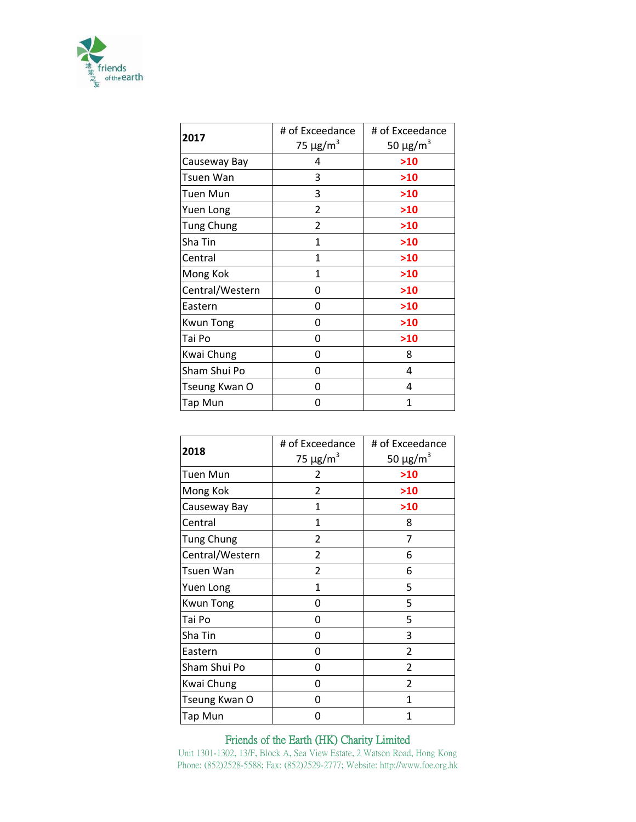

|                   | # of Exceedance           | # of Exceedance           |
|-------------------|---------------------------|---------------------------|
| 2017              | 75 $\mu$ g/m <sup>3</sup> | 50 $\mu$ g/m <sup>3</sup> |
| Causeway Bay      | 4                         | >10                       |
| Tsuen Wan         | 3                         | >10                       |
| <b>Tuen Mun</b>   | 3                         | >10                       |
| Yuen Long         | 2                         | >10                       |
| <b>Tung Chung</b> | 2                         | >10                       |
| Sha Tin           | 1                         | >10                       |
| Central           | 1                         | >10                       |
| Mong Kok          | 1                         | >10                       |
| Central/Western   | 0                         | >10                       |
| Eastern           | 0                         | >10                       |
| <b>Kwun Tong</b>  | 0                         | >10                       |
| Tai Po            | 0                         | >10                       |
| Kwai Chung        | 0                         | 8                         |
| Sham Shui Po      | 0                         | 4                         |
| Tseung Kwan O     | O                         | 4                         |
| Tap Mun           | ი                         | 1                         |

|                   | # of Exceedance           | # of Exceedance           |  |
|-------------------|---------------------------|---------------------------|--|
| 2018              | 75 $\mu$ g/m <sup>3</sup> | 50 $\mu$ g/m <sup>3</sup> |  |
| <b>Tuen Mun</b>   | 2                         | >10                       |  |
| Mong Kok          | 2                         | >10                       |  |
| Causeway Bay      | 1                         | >10                       |  |
| Central           | 1                         | 8                         |  |
| <b>Tung Chung</b> | 2                         | 7                         |  |
| Central/Western   | 2                         | 6                         |  |
| Tsuen Wan         | $\overline{2}$            | 6                         |  |
| Yuen Long         | 1                         | 5                         |  |
| <b>Kwun Tong</b>  | 0                         | 5                         |  |
| Tai Po            | 0                         | 5                         |  |
| Sha Tin           | 0                         | 3                         |  |
| Eastern           | 0                         | 2                         |  |
| Sham Shui Po      | 0                         | 2                         |  |
| Kwai Chung        | 0                         | $\overline{2}$            |  |
| Tseung Kwan O     | ი                         | 1                         |  |
| Tap Mun           | U                         | 1                         |  |

## Friends of the Earth (HK) Charity Limited

Unit 1301-1302, 13/F, Block A, Sea View Estate, 2 Watson Road, Hong Kong Phone: (852)2528-5588; Fax: (852)2529-2777; Website: http://www.foe.org.hk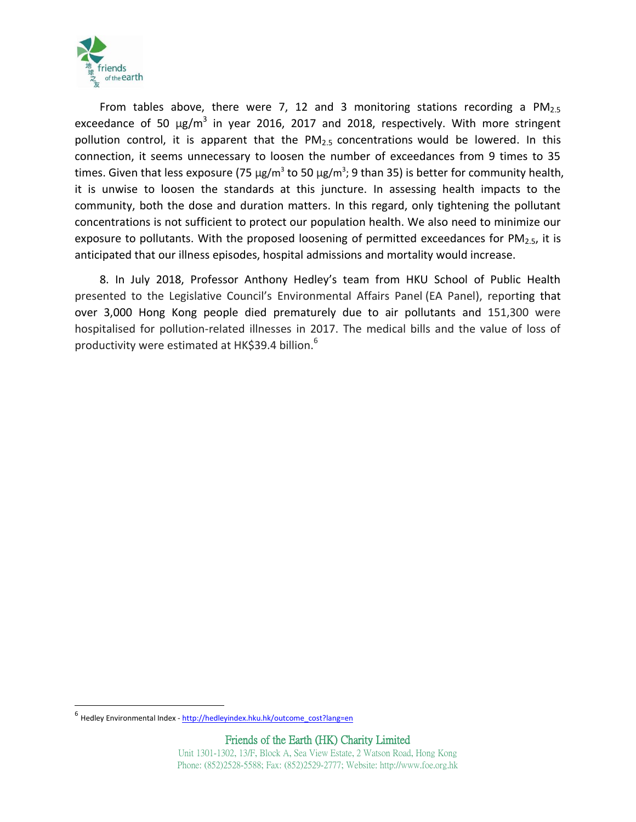

From tables above, there were 7, 12 and 3 monitoring stations recording a  $PM_{2.5}$ exceedance of 50  $\mu$ g/m<sup>3</sup> in year 2016, 2017 and 2018, respectively. With more stringent pollution control, it is apparent that the  $PM<sub>2.5</sub>$  concentrations would be lowered. In this connection, it seems unnecessary to loosen the number of exceedances from 9 times to 35 times. Given that less exposure (75  $\mu$ g/m<sup>3</sup> to 50  $\mu$ g/m<sup>3</sup>; 9 than 35) is better for community health, it is unwise to loosen the standards at this juncture. In assessing health impacts to the community, both the dose and duration matters. In this regard, only tightening the pollutant concentrations is not sufficient to protect our population health. We also need to minimize our exposure to pollutants. With the proposed loosening of permitted exceedances for  $PM<sub>2.5</sub>$ , it is anticipated that our illness episodes, hospital admissions and mortality would increase.

8. In July 2018, Professor Anthony Hedley's team from HKU School of Public Health presented to the Legislative Council's Environmental Affairs Panel (EA Panel), reporting that over 3,000 Hong Kong people died prematurely due to air pollutants and 151,300 were hospitalised for pollution-related illnesses in 2017. The medical bills and the value of loss of productivity were estimated at HK\$39.4 billion.<sup>6</sup>

 $\overline{\phantom{a}}$ 

<sup>&</sup>lt;sup>6</sup> Hedley Environmental Index - [http://hedleyindex.hku.hk/outcome\\_cost?lang=en](http://hedleyindex.hku.hk/outcome_cost?lang=en)